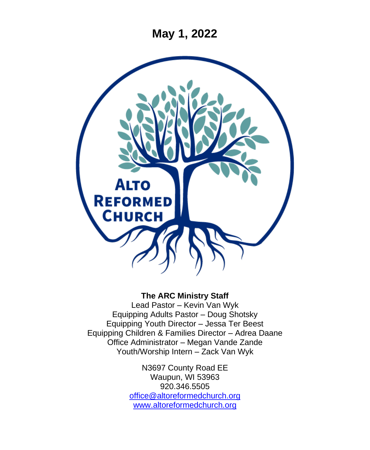**May 1, 2022**



#### **The ARC Ministry Staff**

Lead Pastor – Kevin Van Wyk Equipping Adults Pastor – Doug Shotsky Equipping Youth Director – Jessa Ter Beest Equipping Children & Families Director – Adrea Daane Office Administrator – Megan Vande Zande Youth/Worship Intern – Zack Van Wyk

> N3697 County Road EE Waupun, WI 53963 920.346.5505 [office@altoreformedchurch.org](mailto:office@altoreformedchurch.org) [www.altoreformedchurch.org](http://www.altoreformedchurch.org/)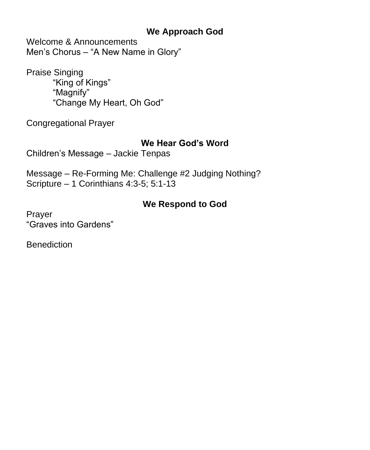### **We Approach God**

Welcome & Announcements Men's Chorus – "A New Name in Glory"

Praise Singing "King of Kings" "Magnify" "Change My Heart, Oh God"

Congregational Prayer

### **We Hear God's Word**

Children's Message – Jackie Tenpas

Message – Re-Forming Me: Challenge #2 Judging Nothing? Scripture – 1 Corinthians 4:3-5; 5:1-13

## **We Respond to God**

Prayer "Graves into Gardens"

**Benediction**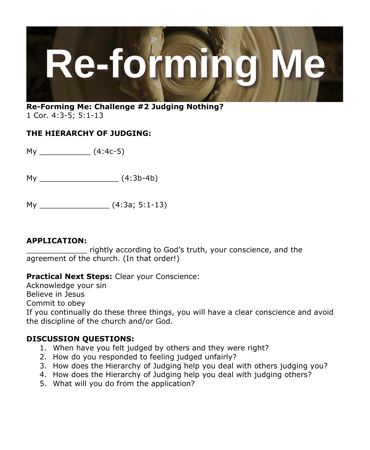

#### **Re-Forming Me: Challenge #2 Judging Nothing?** 1 Cor. 4:3-5; 5:1-13

#### **THE HIERARCHY OF JUDGING:**

 $My$   $(4:4c-5)$ 

My \_\_\_\_\_\_\_\_\_\_\_\_\_\_\_\_\_ (4:3b-4b)

My \_\_\_\_\_\_\_\_\_\_\_\_\_\_\_ (4:3a; 5:1-13)

#### **APPLICATION:**

\_\_\_\_\_\_\_\_\_\_\_\_\_ rightly according to God's truth, your conscience, and the agreement of the church. (In that order!)

#### **Practical Next Steps:** Clear your Conscience:

Acknowledge your sin

Believe in Jesus

Commit to obey

If you continually do these three things, you will have a clear conscience and avoid the discipline of the church and/or God.

#### **DISCUSSION QUESTIONS:**

- 1. When have you felt judged by others and they were right?
- 2. How do you responded to feeling judged unfairly?
- 3. How does the Hierarchy of Judging help you deal with others judging you?
- 4. How does the Hierarchy of Judging help you deal with judging others?
- 5. What will you do from the application?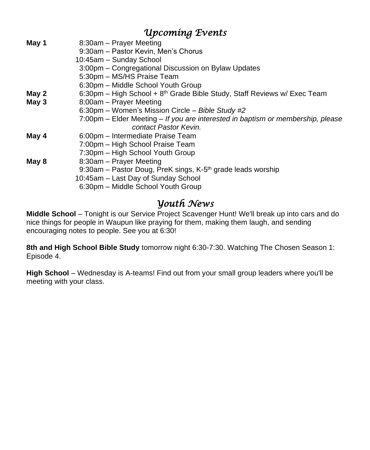# *Upcoming Events*

| May 1 | 8:30am - Prayer Meeting                                                         |
|-------|---------------------------------------------------------------------------------|
|       | 9:30am - Pastor Kevin, Men's Chorus                                             |
|       | 10:45am - Sunday School                                                         |
|       | 3:00pm – Congregational Discussion on Bylaw Updates                             |
|       | 5:30pm - MS/HS Praise Team                                                      |
|       | 6:30pm - Middle School Youth Group                                              |
| May 2 | 6:30pm – High School + $8th$ Grade Bible Study, Staff Reviews w/ Exec Team      |
| May 3 | 8:00am - Prayer Meeting                                                         |
|       | 6:30pm - Women's Mission Circle - Bible Study #2                                |
|       | 7:00pm – Elder Meeting – If you are interested in baptism or membership, please |
|       | contact Pastor Kevin.                                                           |
| May 4 | 6:00pm – Intermediate Praise Team                                               |
|       | 7:00pm - High School Praise Team                                                |
|       | 7:30pm - High School Youth Group                                                |
| May 8 | 8:30am - Prayer Meeting                                                         |
|       | 9:30am – Pastor Doug, PreK sings, K-5 <sup>th</sup> grade leads worship         |
|       | 10:45am - Last Day of Sunday School                                             |
|       | 6:30pm – Middle School Youth Group                                              |
|       |                                                                                 |

# *Youth News*

**Middle School** – Tonight is our Service Project Scavenger Hunt! We'll break up into cars and do nice things for people in Waupun like praying for them, making them laugh, and sending encouraging notes to people. See you at 6:30!

**8th and High School Bible Study** tomorrow night 6:30-7:30. Watching The Chosen Season 1: Episode 4.

**High School** – Wednesday is A-teams! Find out from your small group leaders where you'll be meeting with your class.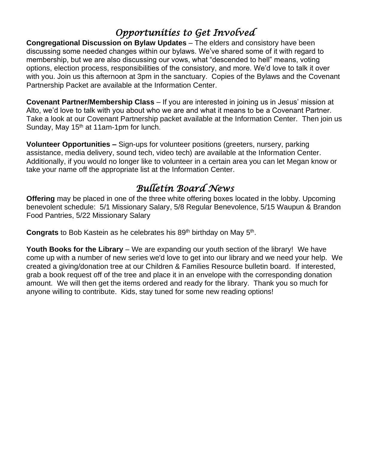# *Opportunities to Get Involved*

**Congregational Discussion on Bylaw Updates** – The elders and consistory have been discussing some needed changes within our bylaws. We've shared some of it with regard to membership, but we are also discussing our vows, what "descended to hell" means, voting options, election process, responsibilities of the consistory, and more. We'd love to talk it over with you. Join us this afternoon at 3pm in the sanctuary. Copies of the Bylaws and the Covenant Partnership Packet are available at the Information Center.

**Covenant Partner/Membership Class** – If you are interested in joining us in Jesus' mission at Alto, we'd love to talk with you about who we are and what it means to be a Covenant Partner. Take a look at our Covenant Partnership packet available at the Information Center. Then join us Sunday, May  $15<sup>th</sup>$  at 11am-1pm for lunch.

**Volunteer Opportunities –** Sign-ups for volunteer positions (greeters, nursery, parking assistance, media delivery, sound tech, video tech) are available at the Information Center. Additionally, if you would no longer like to volunteer in a certain area you can let Megan know or take your name off the appropriate list at the Information Center.

# *Bulletin Board News*

**Offering** may be placed in one of the three white offering boxes located in the lobby. Upcoming benevolent schedule: 5/1 Missionary Salary, 5/8 Regular Benevolence, 5/15 Waupun & Brandon Food Pantries, 5/22 Missionary Salary

Congrats to Bob Kastein as he celebrates his 89<sup>th</sup> birthday on May 5<sup>th</sup>.

**Youth Books for the Library** – We are expanding our youth section of the library! We have come up with a number of new series we'd love to get into our library and we need your help. We created a giving/donation tree at our Children & Families Resource bulletin board. If interested, grab a book request off of the tree and place it in an envelope with the corresponding donation amount. We will then get the items ordered and ready for the library. Thank you so much for anyone willing to contribute. Kids, stay tuned for some new reading options!